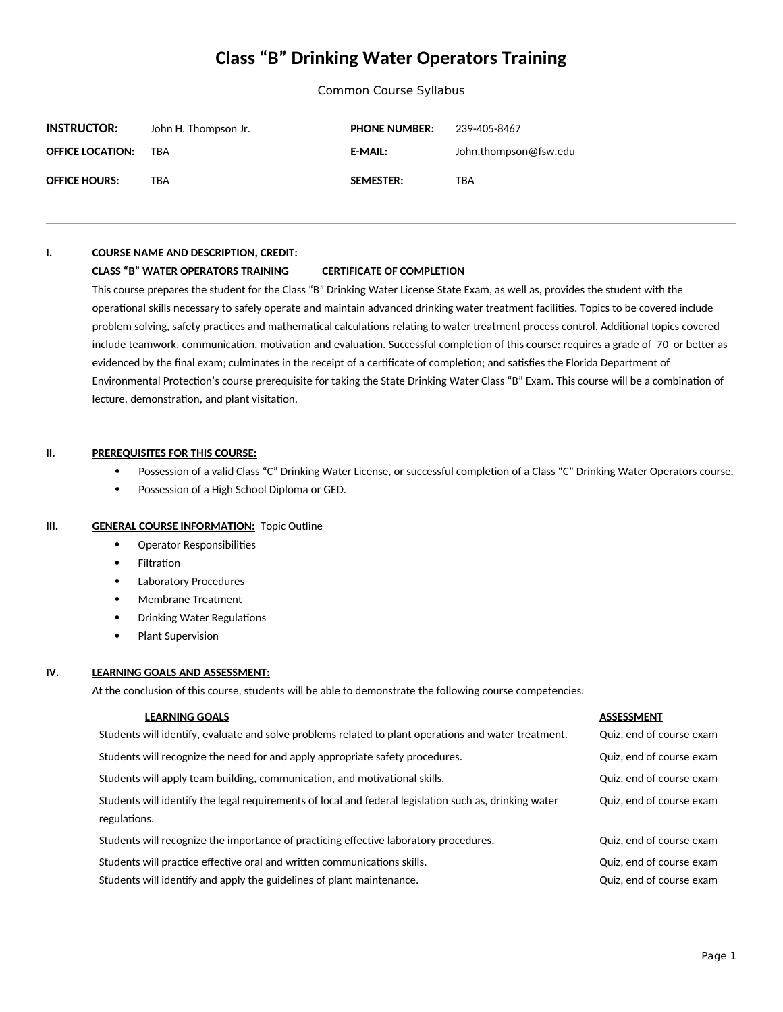# **Class "B" Drinking Water Operators Training**

Common Course Syllabus

| <b>INSTRUCTOR:</b>      | John H. Thompson Jr. | <b>PHONE NUMBER:</b> | 239-405-8467          |
|-------------------------|----------------------|----------------------|-----------------------|
| <b>OFFICE LOCATION:</b> | TRA                  | <b>E-MAIL:</b>       | John.thompson@fsw.edu |
| <b>OFFICE HOURS:</b>    | TBA                  | <b>SEMESTER:</b>     | TBA                   |

### **I. COURSE NAME AND DESCRIPTION, CREDIT:**

### **CLASS "B" WATER OPERATORS TRAINING CERTIFICATE OF COMPLETION**

This course prepares the student for the Class "B" Drinking Water License State Exam, as well as, provides the student with the operational skills necessary to safely operate and maintain advanced drinking water treatment facilities. Topics to be covered include problem solving, safety practices and mathematical calculations relating to water treatment process control. Additional topics covered include teamwork, communication, motivation and evaluation. Successful completion of this course: requires a grade of 70 or better as evidenced by the final exam; culminates in the receipt of a certificate of completion; and satisfies the Florida Department of Environmental Protection's course prerequisite for taking the State Drinking Water Class "B" Exam. This course will be a combination of lecture, demonstration, and plant visitation.

### **II. PREREQUISITES FOR THIS COURSE:**

- Possession of a valid Class "C" Drinking Water License, or successful completion of a Class "C" Drinking Water Operators course.
- Possession of a High School Diploma or GED.

### **III. GENERAL COURSE INFORMATION:** Topic Outline

- Operator Responsibilities
- Filtration
- Laboratory Procedures
- Membrane Treatment
- Drinking Water Regulations
- Plant Supervision

## **IV. LEARNING GOALS AND ASSESSMENT:**

At the conclusion of this course, students will be able to demonstrate the following course competencies:

### **LEARNING GOALS ASSESSMENT**

Students will identify, evaluate and solve problems related to plant operations and water treatment. Quiz, end of course exam Students will recognize the need for and apply appropriate safety procedures. The same secure example of course exam

Students will apply team building, communication, and motivational skills. The motive of the quiz, end of course exam

Students will identify the legal requirements of local and federal legislation such as, drinking water regulations.

Students will recognize the importance of practicing effective laboratory procedures. Quiz, end of course exam

Students will practice effective oral and written communications skills. The manuscription of course example of course example of course example of course example of course example of course example of course example of co

Students will identify and apply the guidelines of plant maintenance. The comparison of course example of course example of course example of course example of course example of course example of course example of course e

Quiz, end of course exam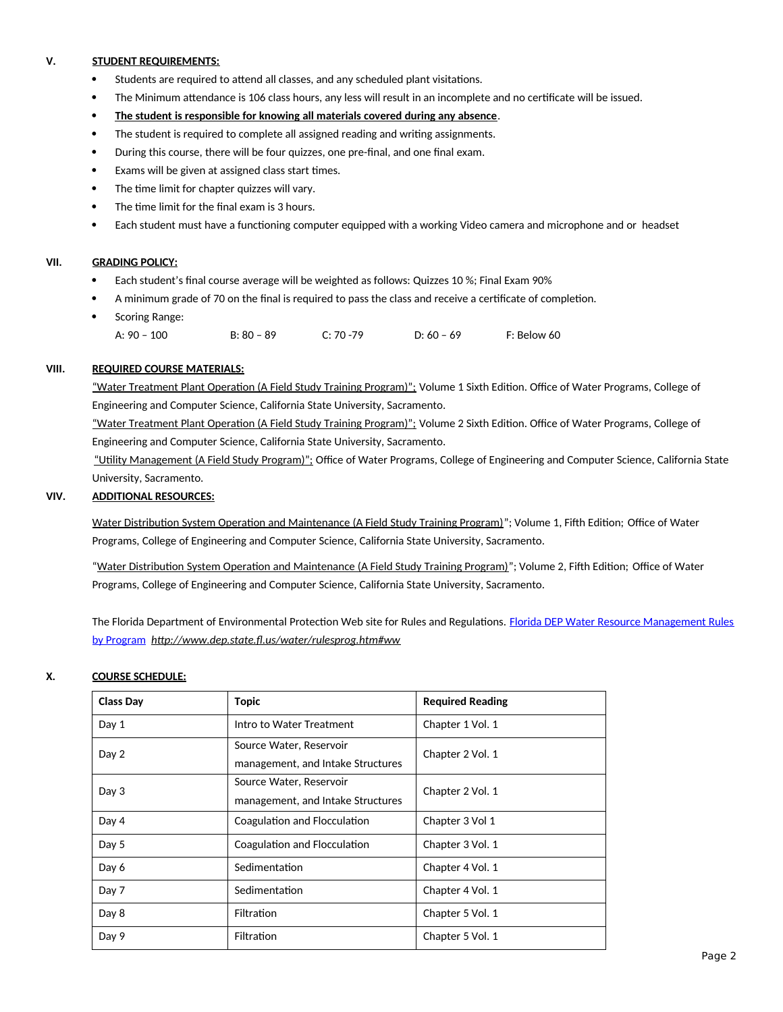# **V. STUDENT REQUIREMENTS:**

- Students are required to attend all classes, and any scheduled plant visitations.
- The Minimum attendance is 106 class hours, any less will result in an incomplete and no certificate will be issued.
- **The student is responsible for knowing all materials covered during any absence**.
- The student is required to complete all assigned reading and writing assignments.
- During this course, there will be four quizzes, one pre-final, and one final exam.
- Exams will be given at assigned class start times.
- The time limit for chapter quizzes will vary.
- The time limit for the final exam is 3 hours.
- Each student must have a functioning computer equipped with a working Video camera and microphone and or headset

# **VII. GRADING POLICY:**

- Each student's final course average will be weighted as follows: Quizzes 10 %; Final Exam 90%
- A minimum grade of 70 on the final is required to pass the class and receive a certificate of completion.
- Scoring Range:
	- A: 90 100 B: 80 89 C: 70 -79 D: 60 69 F: Below 60

# **VIII. REQUIRED COURSE MATERIALS:**

"Water Treatment Plant Operation (A Field Study Training Program)": Volume 1 Sixth Edition. Office of Water Programs, College of Engineering and Computer Science, California State University, Sacramento.

"Water Treatment Plant Operation (A Field Study Training Program)"; Volume 2 Sixth Edition. Office of Water Programs, College of Engineering and Computer Science, California State University, Sacramento.

"Utility Management (A Field Study Program)"; Office of Water Programs, College of Engineering and Computer Science, California State University, Sacramento.

# **VIV. ADDITIONAL RESOURCES:**

Water Distribution System Operation and Maintenance (A Field Study Training Program)"; Volume 1, Fifth Edition; Office of Water Programs, College of Engineering and Computer Science, California State University, Sacramento.

"Water Distribution System Operation and Maintenance (A Field Study Training Program)"; Volume 2, Fifth Edition; Office of Water Programs, College of Engineering and Computer Science, California State University, Sacramento.

The Florida Department of Environmental Protection Web site for Rules and Regulations. [Florida DEP Water Resource Management Rules](../AppData/Local/Temp/Florida%20DEP%20Water%20Resource%20Management%20Rules%20%09by%20Program) [by Program](../AppData/Local/Temp/Florida%20DEP%20Water%20Resource%20Management%20Rules%20%09by%20Program) *http://www.dep.state.fl.us/water/rulesprog.htm#ww*

## **X. COURSE SCHEDULE:**

| <b>Class Day</b> | <b>Topic</b>                                                 | <b>Required Reading</b> |
|------------------|--------------------------------------------------------------|-------------------------|
| Day 1            | Intro to Water Treatment                                     | Chapter 1 Vol. 1        |
| Day 2            | Source Water, Reservoir<br>management, and Intake Structures | Chapter 2 Vol. 1        |
| Day 3            | Source Water, Reservoir<br>management, and Intake Structures | Chapter 2 Vol. 1        |
| Day 4            | Coagulation and Flocculation                                 | Chapter 3 Vol 1         |
| Day 5            | Coagulation and Flocculation                                 | Chapter 3 Vol. 1        |
| Day 6            | Sedimentation                                                | Chapter 4 Vol. 1        |
| Day 7            | Sedimentation                                                | Chapter 4 Vol. 1        |
| Day 8            | <b>Filtration</b>                                            | Chapter 5 Vol. 1        |
| Day 9            | Filtration                                                   | Chapter 5 Vol. 1        |